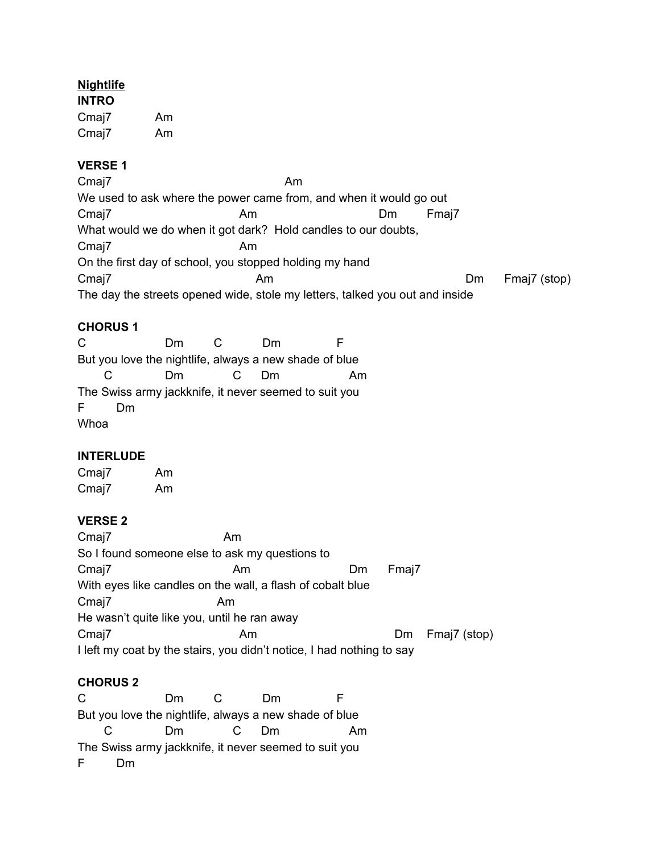# **Nightlife**

**INTRO** Cmaj7 Am Cmaj7 Am

# **VERSE 1**

Cmaj7 Am We used to ask where the power came from, and when it would go out Cmaj7 **Am** Am Dm Fmaj7 What would we do when it got dark? Hold candles to our doubts, Cmaj7 Am On the first day of school, you stopped holding my hand Cmaj7 **Cmaj7** Am Am Dm Fmaj7 (stop) The day the streets opened wide, stole my letters, talked you out and inside

# **CHORUS 1**

C Dm C Dm F But you love the nightlife, always a new shade of blue C Dm C Dm Am The Swiss army jackknife, it never seemed to suit you F Dm Whoa

### **INTERLUDE**

Cmaj7 Am Cmaj7 Am

# **VERSE 2**

Cmaj7 Am So I found someone else to ask my questions to Cmaj7 **Am** Dm Fmaj7 With eyes like candles on the wall, a flash of cobalt blue Cmaj7 Am He wasn't quite like you, until he ran away Cmaj7 **Am** Am Dm Fmaj7 (stop) I left my coat by the stairs, you didn't notice, I had nothing to say

# **CHORUS 2**

C Dm C Dm F But you love the nightlife, always a new shade of blue C Dm C Dm Am The Swiss army jackknife, it never seemed to suit you F Dm